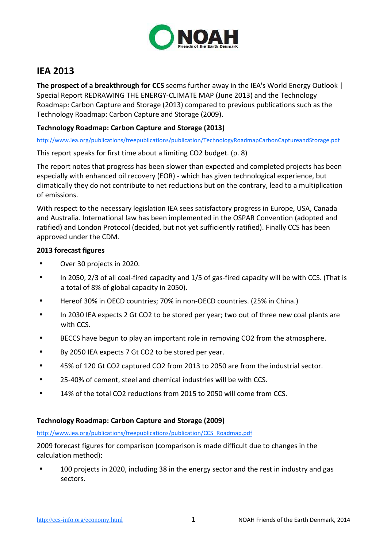

# **IEA 2013**

**The prospect of a breakthrough for CCS** seems further away in the IEA's World Energy Outlook | Special Report REDRAWING THE ENERGY-CLIMATE MAP (June 2013) and the Technology Roadmap: Carbon Capture and Storage (2013) compared to previous publications such as the Technology Roadmap: Carbon Capture and Storage (2009).

## **Technology Roadmap: Carbon Capture and Storage (2013)**

http://www.iea.org/publications/freepublications/publication/TechnologyRoadmapCarbonCaptureandStorage.pdf

This report speaks for first time about a limiting CO2 budget. (p. 8)

The report notes that progress has been slower than expected and completed projects has been especially with enhanced oil recovery (EOR) - which has given technological experience, but climatically they do not contribute to net reductions but on the contrary, lead to a multiplication of emissions.

With respect to the necessary legislation IEA sees satisfactory progress in Europe, USA, Canada and Australia. International law has been implemented in the OSPAR Convention (adopted and ratified) and London Protocol (decided, but not yet sufficiently ratified). Finally CCS has been approved under the CDM.

### **2013 forecast figures**

- Over 30 projects in 2020.
- In 2050, 2/3 of all coal-fired capacity and 1/5 of gas-fired capacity will be with CCS. (That is a total of 8% of global capacity in 2050).
- Hereof 30% in OECD countries; 70% in non-OECD countries. (25% in China.)
- In 2030 IEA expects 2 Gt CO2 to be stored per year; two out of three new coal plants are with CCS.
- BECCS have begun to play an important role in removing CO2 from the atmosphere.
- By 2050 IEA expects 7 Gt CO2 to be stored per year.
- 45% of 120 Gt CO2 captured CO2 from 2013 to 2050 are from the industrial sector.
- 25-40% of cement, steel and chemical industries will be with CCS.
- 14% of the total CO2 reductions from 2015 to 2050 will come from CCS.

#### **Technology Roadmap: Carbon Capture and Storage (2009)**

http://www.iea.org/publications/freepublications/publication/CCS\_Roadmap.pdf

2009 forecast figures for comparison (comparison is made difficult due to changes in the calculation method):

• 100 projects in 2020, including 38 in the energy sector and the rest in industry and gas sectors.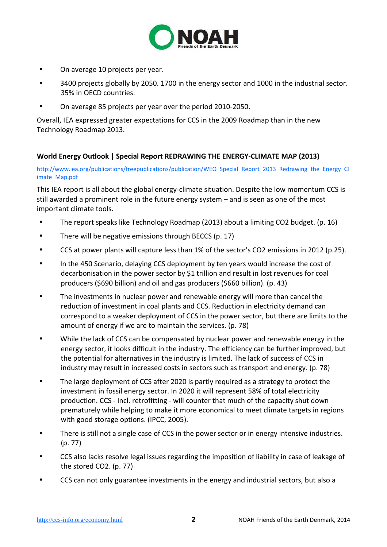

- On average 10 projects per year.
- 3400 projects globally by 2050. 1700 in the energy sector and 1000 in the industrial sector. 35% in OECD countries.
- On average 85 projects per year over the period 2010-2050.

Overall, IEA expressed greater expectations for CCS in the 2009 Roadmap than in the new Technology Roadmap 2013.

## **World Energy Outlook | Special Report REDRAWING THE ENERGY-CLIMATE MAP (2013)**

http://www.iea.org/publications/freepublications/publication/WEO\_Special\_Report\_2013\_Redrawing\_the\_Energy\_Cl imate\_Map.pdf

This IEA report is all about the global energy-climate situation. Despite the low momentum CCS is still awarded a prominent role in the future energy system – and is seen as one of the most important climate tools.

- The report speaks like Technology Roadmap (2013) about a limiting CO2 budget. (p. 16)
- There will be negative emissions through BECCS (p. 17)
- CCS at power plants will capture less than 1% of the sector's CO2 emissions in 2012 (p.25).
- In the 450 Scenario, delaying CCS deployment by ten years would increase the cost of decarbonisation in the power sector by \$1 trillion and result in lost revenues for coal producers (\$690 billion) and oil and gas producers (\$660 billion). (p. 43)
- The investments in nuclear power and renewable energy will more than cancel the reduction of investment in coal plants and CCS. Reduction in electricity demand can correspond to a weaker deployment of CCS in the power sector, but there are limits to the amount of energy if we are to maintain the services. (p. 78)
- While the lack of CCS can be compensated by nuclear power and renewable energy in the energy sector, it looks difficult in the industry. The efficiency can be further improved, but the potential for alternatives in the industry is limited. The lack of success of CCS in industry may result in increased costs in sectors such as transport and energy. (p. 78)
- The large deployment of CCS after 2020 is partly required as a strategy to protect the investment in fossil energy sector. In 2020 it will represent 58% of total electricity production. CCS - incl. retrofitting - will counter that much of the capacity shut down prematurely while helping to make it more economical to meet climate targets in regions with good storage options. (IPCC, 2005).
- There is still not a single case of CCS in the power sector or in energy intensive industries. (p. 77)
- CCS also lacks resolve legal issues regarding the imposition of liability in case of leakage of the stored CO2. (p. 77)
- CCS can not only guarantee investments in the energy and industrial sectors, but also a